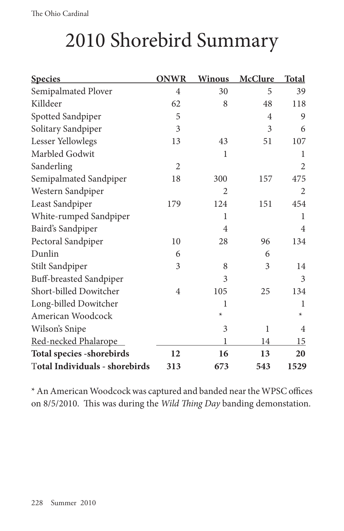## 2010 Shorebird Summary

| <b>Species</b>                 | <b>ONWR</b>    | <b>Winous</b>  | <b>McClure</b> | <b>Total</b>   |
|--------------------------------|----------------|----------------|----------------|----------------|
| Semipalmated Plover            | $\overline{4}$ | 30             | 5              | 39             |
| Killdeer                       | 62             | 8              | 48             | 118            |
| Spotted Sandpiper              | 5              |                | $\overline{4}$ | 9              |
| Solitary Sandpiper             | 3              |                | 3              | 6              |
| Lesser Yellowlegs              | 13             | 43             | 51             | 107            |
| Marbled Godwit                 |                | $\mathbf{1}$   |                | 1              |
| Sanderling                     | $\overline{2}$ |                |                | $\overline{2}$ |
| Semipalmated Sandpiper         | 18             | 300            | 157            | 475            |
| Western Sandpiper              |                | $\overline{2}$ |                | $\overline{2}$ |
| Least Sandpiper                | 179            | 124            | 151            | 454            |
| White-rumped Sandpiper         |                | 1              |                | 1              |
| Baird's Sandpiper              |                | $\overline{4}$ |                | $\overline{4}$ |
| Pectoral Sandpiper             | 10             | 28             | 96             | 134            |
| Dunlin                         | 6              |                | 6              |                |
| Stilt Sandpiper                | 3              | 8              | 3              | 14             |
| Buff-breasted Sandpiper        |                | 3              |                | 3              |
| Short-billed Dowitcher         | 4              | 105            | 25             | 134            |
| Long-billed Dowitcher          |                | 1              |                | 1              |
| American Woodcock              |                | $\star$        |                | $\star$        |
| Wilson's Snipe                 |                | 3              | 1              | 4              |
| Red-necked Phalarope           |                | 1              | 14             | 15             |
| Total species - shorebirds     | 12             | 16             | 13             | 20             |
| Total Individuals - shorebirds | 313            | 673            | 543            | 1529           |

\* An American Woodcock was captured and banded near the WPSC offices on 8/5/2010. This was during the *Wild Thing Day* banding demonstation.